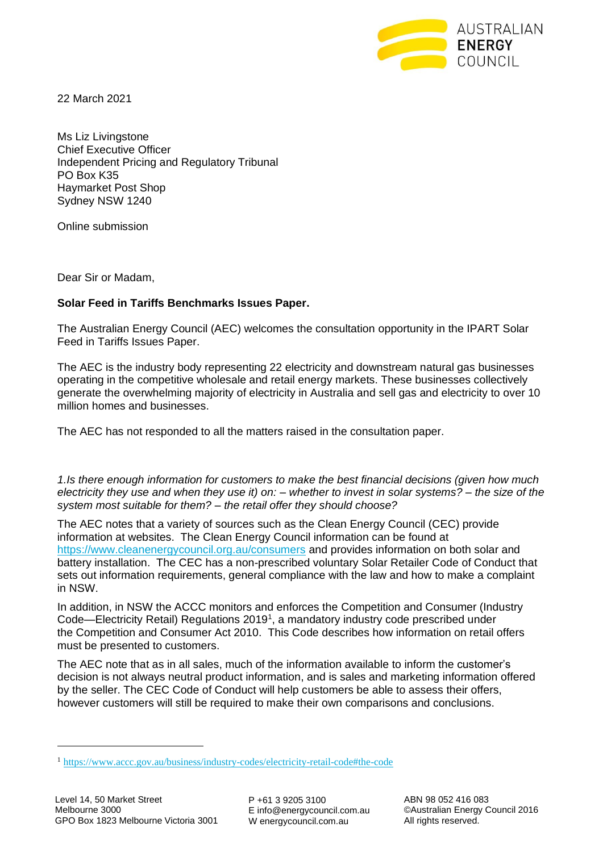

22 March 2021

Ms Liz Livingstone Chief Executive Officer Independent Pricing and Regulatory Tribunal PO Box K35 Haymarket Post Shop Sydney NSW 1240

Online submission

Dear Sir or Madam,

## **Solar Feed in Tariffs Benchmarks Issues Paper.**

The Australian Energy Council (AEC) welcomes the consultation opportunity in the IPART Solar Feed in Tariffs Issues Paper.

The AEC is the industry body representing 22 electricity and downstream natural gas businesses operating in the competitive wholesale and retail energy markets. These businesses collectively generate the overwhelming majority of electricity in Australia and sell gas and electricity to over 10 million homes and businesses.

The AEC has not responded to all the matters raised in the consultation paper.

*1.Is there enough information for customers to make the best financial decisions (given how much electricity they use and when they use it) on: – whether to invest in solar systems? – the size of the system most suitable for them? – the retail offer they should choose?* 

The AEC notes that a variety of sources such as the Clean Energy Council (CEC) provide information at websites. The Clean Energy Council information can be found at <https://www.cleanenergycouncil.org.au/consumers> and provides information on both solar and battery installation. The CEC has a non-prescribed voluntary Solar Retailer Code of Conduct that sets out information requirements, general compliance with the law and how to make a complaint in NSW.

In addition, in NSW the ACCC monitors and enforces the Competition and Consumer (Industry Code—Electricity Retail) Regulations 2019<sup>1</sup>, a mandatory industry code prescribed under the Competition and Consumer Act 2010. This Code describes how information on retail offers must be presented to customers.

The AEC note that as in all sales, much of the information available to inform the customer's decision is not always neutral product information, and is sales and marketing information offered by the seller. The CEC Code of Conduct will help customers be able to assess their offers, however customers will still be required to make their own comparisons and conclusions.

P +61 3 9205 3100 E info@energycouncil.com.au W energycouncil.com.au

<sup>1</sup> <https://www.accc.gov.au/business/industry-codes/electricity-retail-code#the-code>